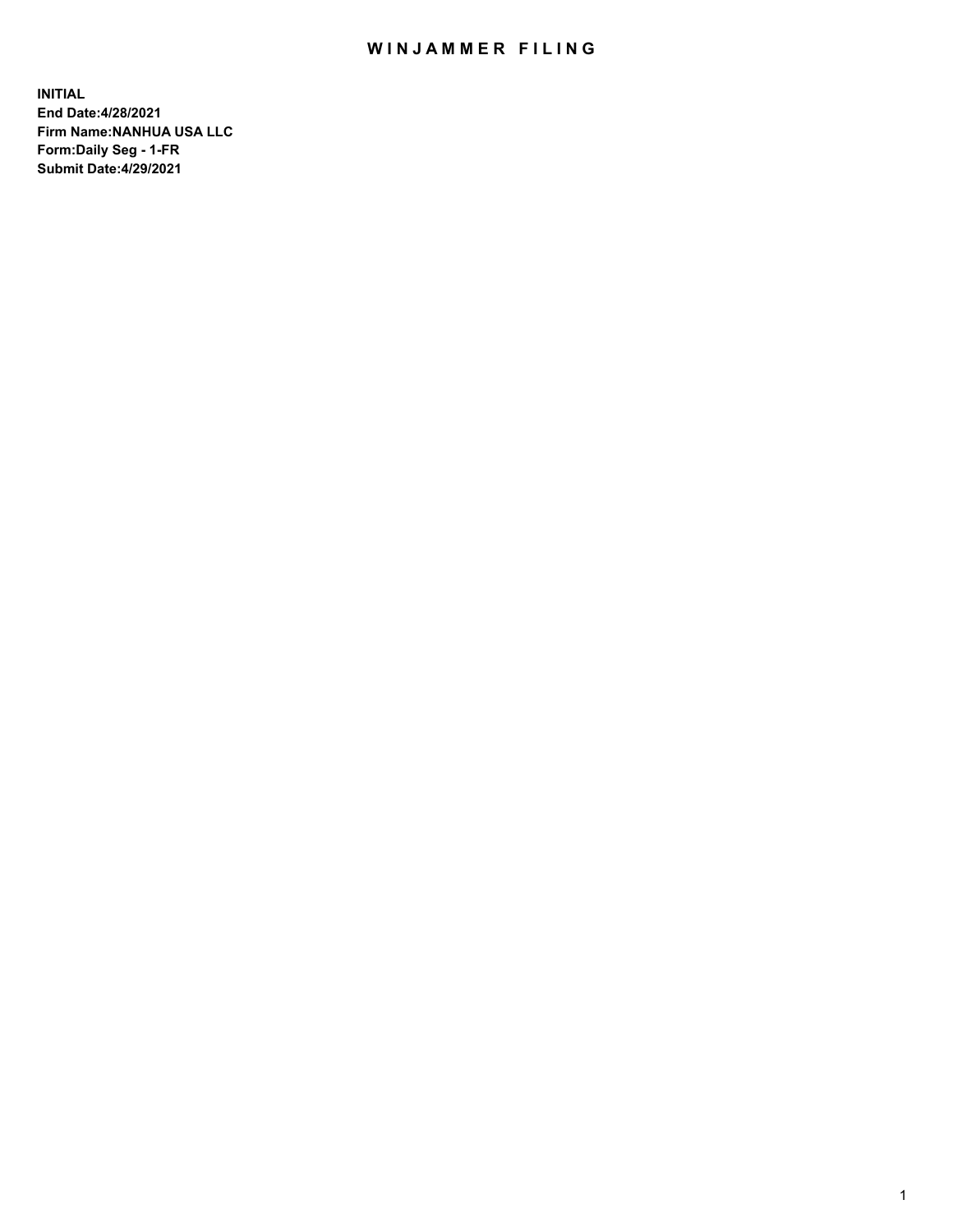## WIN JAMMER FILING

**INITIAL End Date:4/28/2021 Firm Name:NANHUA USA LLC Form:Daily Seg - 1-FR Submit Date:4/29/2021**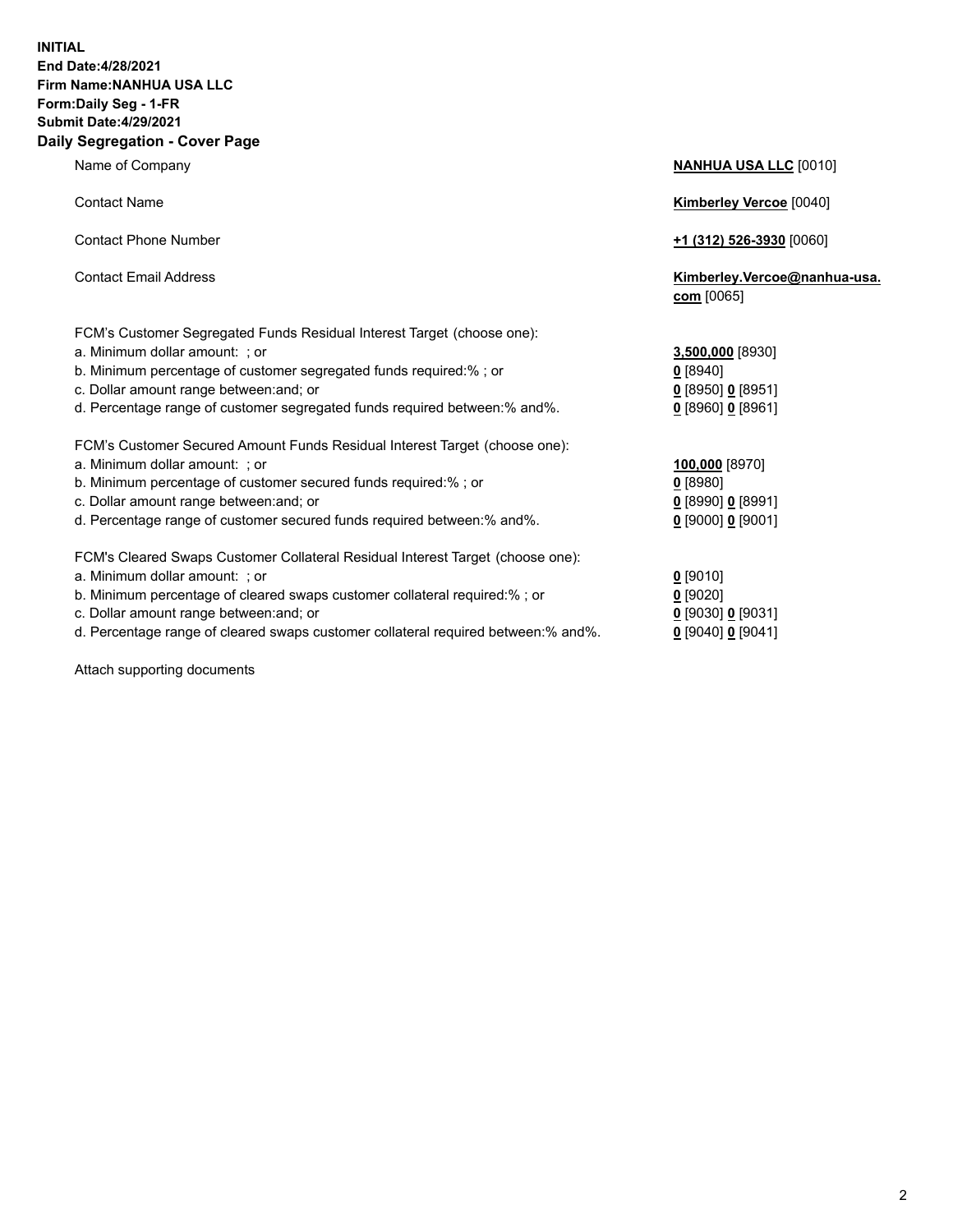## **INITIAL End Date:4/28/2021 Firm Name:NANHUA USA LLC Form:Daily Seg - 1-FR Submit Date:4/29/2021 Daily Segregation - Cover Page**

Name of Company **NANHUA USA LLC** [0010] Contact Name **Kimberley Vercoe** [0040] Contact Phone Number **+1 (312) 526-3930** [0060] Contact Email Address **Kimberley.Vercoe@nanhua-usa. com** [0065] FCM's Customer Segregated Funds Residual Interest Target (choose one): a. Minimum dollar amount: ; or **3,500,000** [8930] b. Minimum percentage of customer segregated funds required:% ; or **0** [8940] c. Dollar amount range between:and; or **0** [8950] **0** [8951] d. Percentage range of customer segregated funds required between:% and%. **0** [8960] **0** [8961] FCM's Customer Secured Amount Funds Residual Interest Target (choose one): a. Minimum dollar amount: ; or **100,000** [8970] b. Minimum percentage of customer secured funds required:% ; or **0** [8980] c. Dollar amount range between:and; or **0** [8990] **0** [8991] d. Percentage range of customer secured funds required between:% and%. **0** [9000] **0** [9001] FCM's Cleared Swaps Customer Collateral Residual Interest Target (choose one): a. Minimum dollar amount: ; or **0** [9010] b. Minimum percentage of cleared swaps customer collateral required:% ; or **0** [9020] c. Dollar amount range between:and; or **0** [9030] **0** [9031]

d. Percentage range of cleared swaps customer collateral required between:% and%. **0** [9040] **0** [9041]

Attach supporting documents

2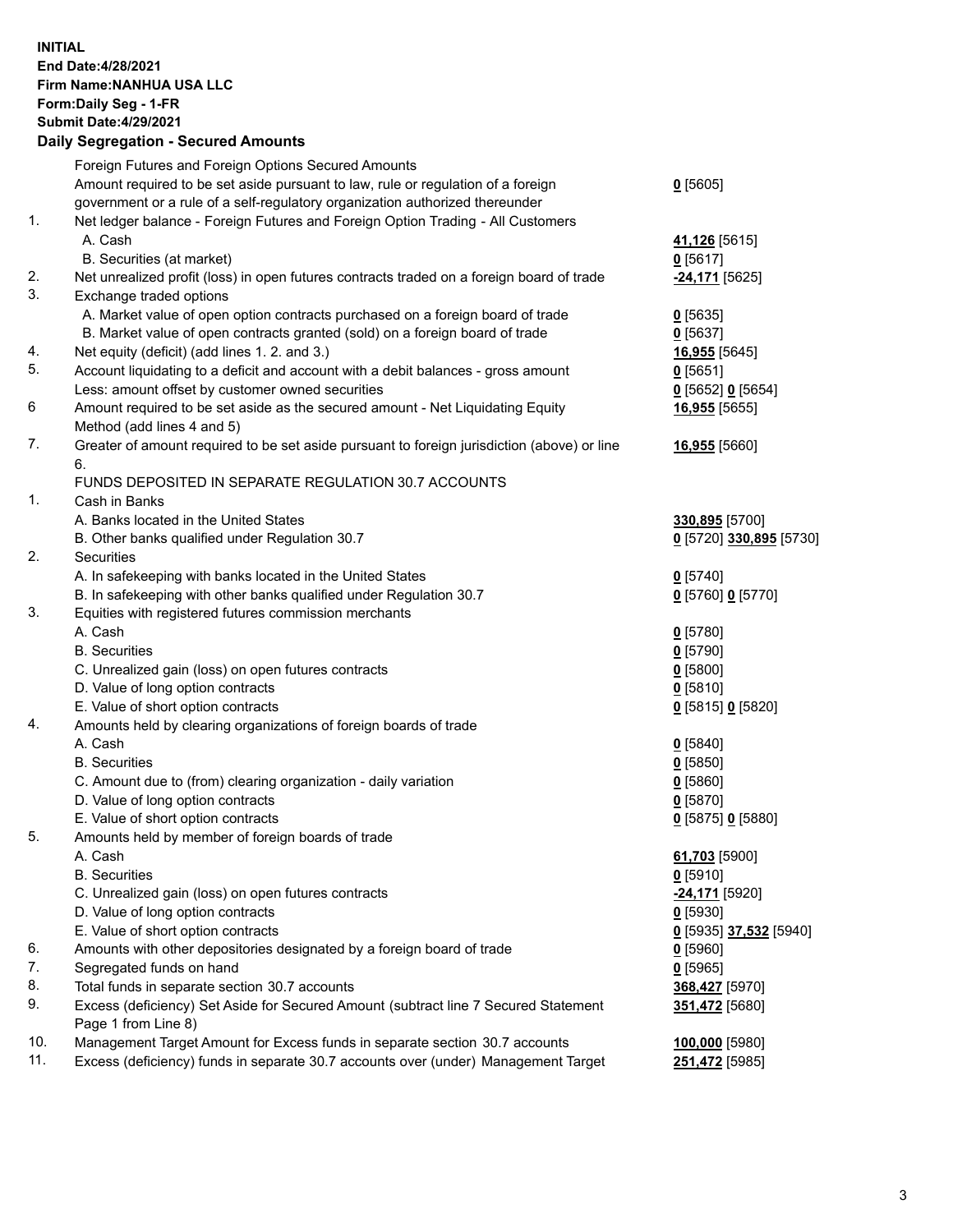**INITIAL End Date:4/28/2021 Firm Name:NANHUA USA LLC Form:Daily Seg - 1-FR Submit Date:4/29/2021**

## **Daily Segregation - Secured Amounts**

|                | Foreign Futures and Foreign Options Secured Amounts                                         |                               |
|----------------|---------------------------------------------------------------------------------------------|-------------------------------|
|                | Amount required to be set aside pursuant to law, rule or regulation of a foreign            | 0[5605]                       |
|                | government or a rule of a self-regulatory organization authorized thereunder                |                               |
| $\mathbf{1}$ . | Net ledger balance - Foreign Futures and Foreign Option Trading - All Customers             |                               |
|                | A. Cash                                                                                     | 41,126 [5615]                 |
|                | B. Securities (at market)                                                                   | $0$ [5617]                    |
| 2.             | Net unrealized profit (loss) in open futures contracts traded on a foreign board of trade   | -24,171 <sup>[5625]</sup>     |
| 3.             | Exchange traded options                                                                     |                               |
|                | A. Market value of open option contracts purchased on a foreign board of trade              | $0$ [5635]                    |
|                | B. Market value of open contracts granted (sold) on a foreign board of trade                | $0$ [5637]                    |
| 4.             | Net equity (deficit) (add lines 1. 2. and 3.)                                               | 16,955 [5645]                 |
| 5.             | Account liquidating to a deficit and account with a debit balances - gross amount           | $0$ [5651]                    |
|                | Less: amount offset by customer owned securities                                            | 0 [5652] 0 [5654]             |
| 6              | Amount required to be set aside as the secured amount - Net Liquidating Equity              | 16,955 [5655]                 |
|                | Method (add lines 4 and 5)                                                                  |                               |
| 7.             | Greater of amount required to be set aside pursuant to foreign jurisdiction (above) or line | 16,955 [5660]                 |
|                | 6.                                                                                          |                               |
|                | FUNDS DEPOSITED IN SEPARATE REGULATION 30.7 ACCOUNTS                                        |                               |
| $\mathbf{1}$ . | Cash in Banks                                                                               |                               |
|                | A. Banks located in the United States                                                       | 330,895 [5700]                |
|                | B. Other banks qualified under Regulation 30.7                                              | 0 [5720] 330,895 [5730]       |
| 2.             | Securities                                                                                  |                               |
|                | A. In safekeeping with banks located in the United States                                   | $0$ [5740]                    |
|                | B. In safekeeping with other banks qualified under Regulation 30.7                          | 0 [5760] 0 [5770]             |
| 3.             | Equities with registered futures commission merchants                                       |                               |
|                | A. Cash                                                                                     | $0$ [5780]                    |
|                | <b>B.</b> Securities                                                                        | $0$ [5790]                    |
|                | C. Unrealized gain (loss) on open futures contracts                                         | $Q$ [5800]                    |
|                | D. Value of long option contracts                                                           | 0[5810]                       |
|                | E. Value of short option contracts                                                          | 0 [5815] 0 [5820]             |
| 4.             | Amounts held by clearing organizations of foreign boards of trade                           |                               |
|                | A. Cash                                                                                     | 0[5840]                       |
|                | <b>B.</b> Securities                                                                        | $0$ [5850]                    |
|                | C. Amount due to (from) clearing organization - daily variation                             | 0[5860]                       |
|                | D. Value of long option contracts                                                           | $0$ [5870]                    |
|                | E. Value of short option contracts                                                          | 0 [5875] 0 [5880]             |
| 5.             | Amounts held by member of foreign boards of trade                                           |                               |
|                | A. Cash                                                                                     | 61,703 [5900]                 |
|                | <b>B.</b> Securities                                                                        | $0$ [5910]                    |
|                | C. Unrealized gain (loss) on open futures contracts                                         | <u>-24,171</u> [5920]         |
|                | D. Value of long option contracts                                                           | $0$ [5930]                    |
|                | E. Value of short option contracts                                                          | <u>0</u> [5935] 37,532 [5940] |
| 6.             | Amounts with other depositories designated by a foreign board of trade                      | $0$ [5960]                    |
| 7.             | Segregated funds on hand                                                                    | $0$ [5965]                    |
| 8.             | Total funds in separate section 30.7 accounts                                               | 368,427 [5970]                |
| 9.             | Excess (deficiency) Set Aside for Secured Amount (subtract line 7 Secured Statement         | 351,472 [5680]                |
|                | Page 1 from Line 8)                                                                         |                               |
| 10.            | Management Target Amount for Excess funds in separate section 30.7 accounts                 | 100,000 [5980]                |
| 11.            | Excess (deficiency) funds in separate 30.7 accounts over (under) Management Target          | 251,472 [5985]                |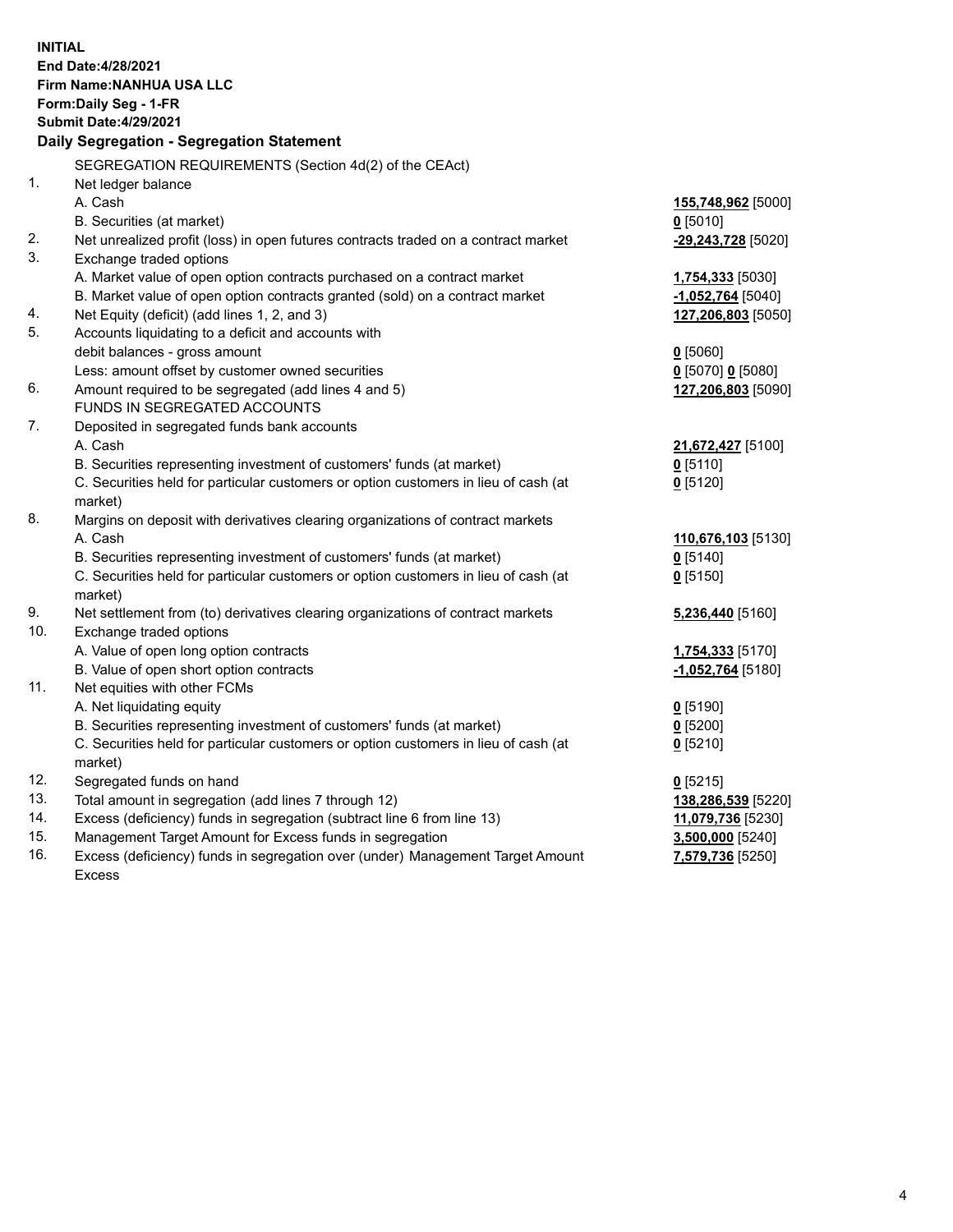| <b>INITIAL</b> | End Date: 4/28/2021<br><b>Firm Name: NANHUA USA LLC</b><br>Form: Daily Seg - 1-FR<br><b>Submit Date:4/29/2021</b><br>Daily Segregation - Segregation Statement |                                       |
|----------------|----------------------------------------------------------------------------------------------------------------------------------------------------------------|---------------------------------------|
|                |                                                                                                                                                                |                                       |
| $\mathbf{1}$ . | SEGREGATION REQUIREMENTS (Section 4d(2) of the CEAct)<br>Net ledger balance                                                                                    |                                       |
|                | A. Cash                                                                                                                                                        | 155,748,962 [5000]                    |
|                | B. Securities (at market)                                                                                                                                      | $0$ [5010]                            |
| 2.             | Net unrealized profit (loss) in open futures contracts traded on a contract market                                                                             | -29,243,728 [5020]                    |
| 3.             | Exchange traded options                                                                                                                                        |                                       |
|                | A. Market value of open option contracts purchased on a contract market                                                                                        | 1,754,333 [5030]                      |
|                | B. Market value of open option contracts granted (sold) on a contract market                                                                                   | -1,052,764 [5040]                     |
| 4.             | Net Equity (deficit) (add lines 1, 2, and 3)                                                                                                                   | 127,206,803 [5050]                    |
| 5.             | Accounts liquidating to a deficit and accounts with                                                                                                            |                                       |
|                | debit balances - gross amount                                                                                                                                  | $0$ [5060]                            |
|                | Less: amount offset by customer owned securities                                                                                                               | $0$ [5070] 0 [5080]                   |
| 6.             | Amount required to be segregated (add lines 4 and 5)                                                                                                           | 127,206,803 [5090]                    |
|                | FUNDS IN SEGREGATED ACCOUNTS                                                                                                                                   |                                       |
| 7.             | Deposited in segregated funds bank accounts                                                                                                                    |                                       |
|                | A. Cash                                                                                                                                                        | 21,672,427 [5100]                     |
|                | B. Securities representing investment of customers' funds (at market)                                                                                          | $0$ [5110]                            |
|                | C. Securities held for particular customers or option customers in lieu of cash (at                                                                            | $0$ [5120]                            |
|                | market)                                                                                                                                                        |                                       |
| 8.             | Margins on deposit with derivatives clearing organizations of contract markets                                                                                 |                                       |
|                | A. Cash                                                                                                                                                        | 110,676,103 [5130]                    |
|                | B. Securities representing investment of customers' funds (at market)                                                                                          | $0$ [5140]                            |
|                | C. Securities held for particular customers or option customers in lieu of cash (at                                                                            | $0$ [5150]                            |
|                | market)                                                                                                                                                        |                                       |
| 9.             | Net settlement from (to) derivatives clearing organizations of contract markets                                                                                | 5,236,440 [5160]                      |
| 10.            | Exchange traded options                                                                                                                                        |                                       |
|                | A. Value of open long option contracts                                                                                                                         | 1,754,333 [5170]                      |
|                | B. Value of open short option contracts                                                                                                                        | -1,052,764 [5180]                     |
| 11.            | Net equities with other FCMs                                                                                                                                   |                                       |
|                | A. Net liquidating equity                                                                                                                                      | $0$ [5190]                            |
|                | B. Securities representing investment of customers' funds (at market)                                                                                          | $0$ [5200]                            |
|                | C. Securities held for particular customers or option customers in lieu of cash (at                                                                            | $0$ [5210]                            |
|                | market)                                                                                                                                                        |                                       |
| 12.<br>13.     | Segregated funds on hand<br>Total amount in segregation (add lines 7 through 12)                                                                               | $0$ [5215]                            |
| 14.            | Excess (deficiency) funds in segregation (subtract line 6 from line 13)                                                                                        | 138,286,539 [5220]                    |
| 15.            | Management Target Amount for Excess funds in segregation                                                                                                       | 11,079,736 [5230]<br>3,500,000 [5240] |
| 16.            | Excess (deficiency) funds in segregation over (under) Management Target Amount                                                                                 | 7,579,736 [5250]                      |
|                | <b>Excess</b>                                                                                                                                                  |                                       |